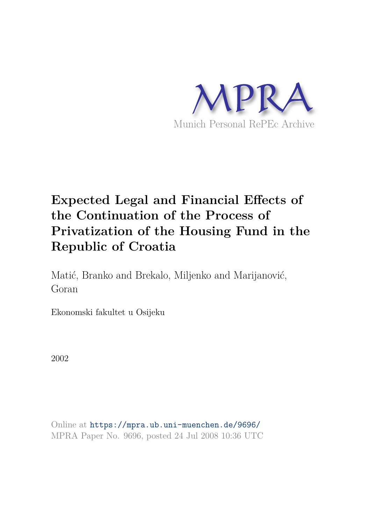

# **Expected Legal and Financial Effects of the Continuation of the Process of Privatization of the Housing Fund in the Republic of Croatia**

Matić, Branko and Brekalo, Miljenko and Marijanović, Goran

Ekonomski fakultet u Osijeku

2002

Online at https://mpra.ub.uni-muenchen.de/9696/ MPRA Paper No. 9696, posted 24 Jul 2008 10:36 UTC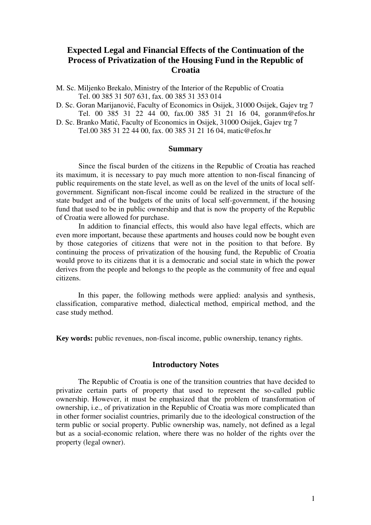# **Expected Legal and Financial Effects of the Continuation of the Process of Privatization of the Housing Fund in the Republic of Croatia**

- M. Sc. Miljenko Brekalo, Ministry of the Interior of the Republic of Croatia Tel. 00 385 31 507 631, fax. 00 385 31 353 014
- D. Sc. Goran Marijanović, Faculty of Economics in Osijek, 31000 Osijek, Gajev trg 7 Tel. 00 385 31 22 44 00, fax.00 385 31 21 16 04, goranm@efos.hr
- D. Sc. Branko Matić, Faculty of Economics in Osijek, 31000 Osijek, Gajev trg 7 Tel.00 385 31 22 44 00, fax. 00 385 31 21 16 04, matic@efos.hr

#### **Summary**

Since the fiscal burden of the citizens in the Republic of Croatia has reached its maximum, it is necessary to pay much more attention to non-fiscal financing of public requirements on the state level, as well as on the level of the units of local selfgovernment. Significant non-fiscal income could be realized in the structure of the state budget and of the budgets of the units of local self-government, if the housing fund that used to be in public ownership and that is now the property of the Republic of Croatia were allowed for purchase.

In addition to financial effects, this would also have legal effects, which are even more important, because these apartments and houses could now be bought even by those categories of citizens that were not in the position to that before. By continuing the process of privatization of the housing fund, the Republic of Croatia would prove to its citizens that it is a democratic and social state in which the power derives from the people and belongs to the people as the community of free and equal citizens.

In this paper, the following methods were applied: analysis and synthesis, classification, comparative method, dialectical method, empirical method, and the case study method.

**Key words:** public revenues, non-fiscal income, public ownership, tenancy rights.

## **Introductory Notes**

The Republic of Croatia is one of the transition countries that have decided to privatize certain parts of property that used to represent the so-called public ownership. However, it must be emphasized that the problem of transformation of ownership, i.e., of privatization in the Republic of Croatia was more complicated than in other former socialist countries, primarily due to the ideological construction of the term public or social property. Public ownership was, namely, not defined as a legal but as a social-economic relation, where there was no holder of the rights over the property (legal owner).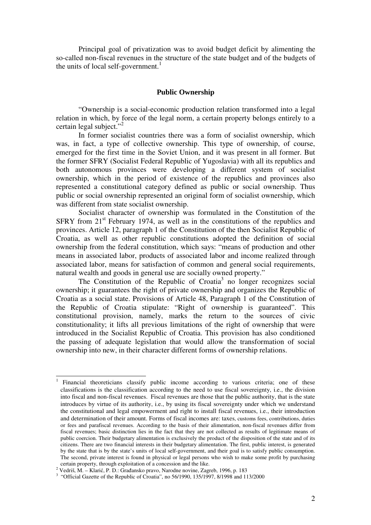Principal goal of privatization was to avoid budget deficit by alimenting the so-called non-fiscal revenues in the structure of the state budget and of the budgets of the units of local self-government.<sup>1</sup>

# **Public Ownership**

"Ownership is a social-economic production relation transformed into a legal relation in which, by force of the legal norm, a certain property belongs entirely to a certain legal subject."<sup>2</sup>

In former socialist countries there was a form of socialist ownership, which was, in fact, a type of collective ownership. This type of ownership, of course, emerged for the first time in the Soviet Union, and it was present in all former. But the former SFRY (Socialist Federal Republic of Yugoslavia) with all its republics and both autonomous provinces were developing a different system of socialist ownership, which in the period of existence of the republics and provinces also represented a constitutional category defined as public or social ownership. Thus public or social ownership represented an original form of socialist ownership, which was different from state socialist ownership.

Socialist character of ownership was formulated in the Constitution of the  $SFRY$  from  $21<sup>st</sup>$  February 1974, as well as in the constitutions of the republics and provinces. Article 12, paragraph 1 of the Constitution of the then Socialist Republic of Croatia, as well as other republic constitutions adopted the definition of social ownership from the federal constitution, which says: "means of production and other means in associated labor, products of associated labor and income realized through associated labor, means for satisfaction of common and general social requirements, natural wealth and goods in general use are socially owned property."

The Constitution of the Republic of Croatia<sup>3</sup> no longer recognizes social ownership; it guarantees the right of private ownership and organizes the Republic of Croatia as a social state. Provisions of Article 48, Paragraph 1 of the Constitution of the Republic of Croatia stipulate: "Right of ownership is guaranteed". This constitutional provision, namely, marks the return to the sources of civic constitutionality; it lifts all previous limitations of the right of ownership that were introduced in the Socialist Republic of Croatia. This provision has also conditioned the passing of adequate legislation that would allow the transformation of social ownership into new, in their character different forms of ownership relations.

 $\overline{a}$ 

<sup>1</sup> Financial theoreticians classify public income according to various criteria; one of these classifications is the classification according to the need to use fiscal sovereignty, i.e., the division into fiscal and non-fiscal revenues. Fiscal revenues are those that the public authority, that is the state introduces by virtue of its authority, i.e., by using its fiscal sovereignty under which we understand the constitutional and legal empowerment and right to install fiscal revenues, i.e., their introduction and determination of their amount. Forms of fiscal incomes are: taxes, customs fees, contributions, duties or fees and parafiscal revenues. According to the basis of their alimentation, non-fiscal revenues differ from fiscal revenues; basic distinction lies in the fact that they are not collected as results of legitimate means of public coercion. Their budgetary alimentation is exclusively the product of the disposition of the state and of its citizens. There are two financial interests in their budgetary alimentation. The first, public interest, is generated by the state that is by the state's units of local self-government, and their goal is to satisfy public consumption. The second, private interest is found in physical or legal persons who wish to make some profit by purchasing certain property, through exploitation of a concession and the like.

<sup>&</sup>lt;sup>2</sup> Vedriš, M. – Klarić, P. D.: Građansko pravo, Narodne novine, Zagreb, 1996, p. 183

<sup>&</sup>lt;sup>3</sup> "Official Gazette of the Republic of Croatia", no 56/1990, 135/1997, 8/1998 and 113/2000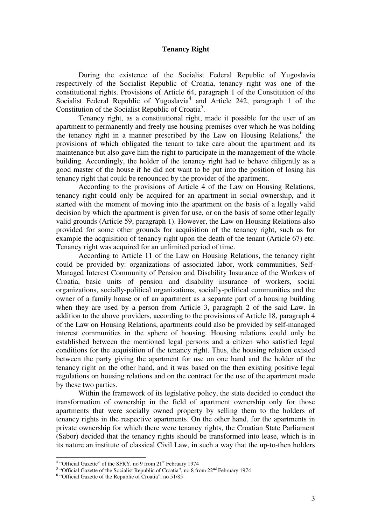#### **Tenancy Right**

 During the existence of the Socialist Federal Republic of Yugoslavia respectively of the Socialist Republic of Croatia, tenancy right was one of the constitutional rights. Provisions of Article 64, paragraph 1 of the Constitution of the Socialist Federal Republic of Yugoslavia<sup>4</sup> and Article 242, paragraph 1 of the Constitution of the Socialist Republic of Croatia<sup>5</sup>.

 Tenancy right, as a constitutional right, made it possible for the user of an apartment to permanently and freely use housing premises over which he was holding the tenancy right in a manner prescribed by the Law on Housing Relations,<sup>6</sup> the provisions of which obligated the tenant to take care about the apartment and its maintenance but also gave him the right to participate in the management of the whole building. Accordingly, the holder of the tenancy right had to behave diligently as a good master of the house if he did not want to be put into the position of losing his tenancy right that could be renounced by the provider of the apartment.

 According to the provisions of Article 4 of the Law on Housing Relations, tenancy right could only be acquired for an apartment in social ownership, and it started with the moment of moving into the apartment on the basis of a legally valid decision by which the apartment is given for use, or on the basis of some other legally valid grounds (Article 59, paragraph 1). However, the Law on Housing Relations also provided for some other grounds for acquisition of the tenancy right, such as for example the acquisition of tenancy right upon the death of the tenant (Article 67) etc. Tenancy right was acquired for an unlimited period of time.

 According to Article 11 of the Law on Housing Relations, the tenancy right could be provided by: organizations of associated labor, work communities, Self-Managed Interest Community of Pension and Disability Insurance of the Workers of Croatia, basic units of pension and disability insurance of workers, social organizations, socially-political organizations, socially-political communities and the owner of a family house or of an apartment as a separate part of a housing building when they are used by a person from Article 3, paragraph 2 of the said Law. In addition to the above providers, according to the provisions of Article 18, paragraph 4 of the Law on Housing Relations, apartments could also be provided by self-managed interest communities in the sphere of housing. Housing relations could only be established between the mentioned legal persons and a citizen who satisfied legal conditions for the acquisition of the tenancy right. Thus, the housing relation existed between the party giving the apartment for use on one hand and the holder of the tenancy right on the other hand, and it was based on the then existing positive legal regulations on housing relations and on the contract for the use of the apartment made by these two parties.

 Within the framework of its legislative policy, the state decided to conduct the transformation of ownership in the field of apartment ownership only for those apartments that were socially owned property by selling them to the holders of tenancy rights in the respective apartments. On the other hand, for the apartments in private ownership for which there were tenancy rights, the Croatian State Parliament (Sabor) decided that the tenancy rights should be transformed into lease, which is in its nature an institute of classical Civil Law, in such a way that the up-to-then holders

 4 "Official Gazette" of the SFRY, no 9 from 21st February 1974

<sup>&</sup>lt;sup>5</sup> "Official Gazette of the Socialist Republic of Croatia", no 8 from 22<sup>nd</sup> February 1974

<sup>&</sup>lt;sup>6</sup> "Official Gazette of the Republic of Croatia", no 51/85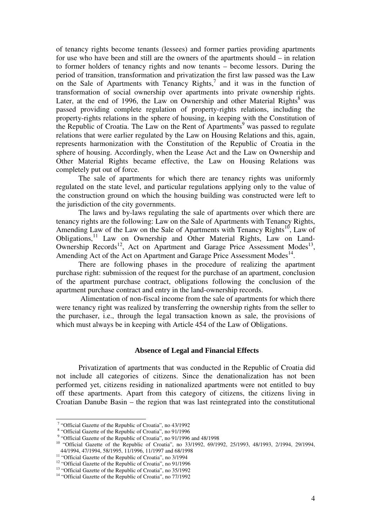of tenancy rights become tenants (lessees) and former parties providing apartments for use who have been and still are the owners of the apartments should – in relation to former holders of tenancy rights and now tenants – become lessors. During the period of transition, transformation and privatization the first law passed was the Law on the Sale of Apartments with Tenancy Rights, $^7$  and it was in the function of transformation of social ownership over apartments into private ownership rights. Later, at the end of 1996, the Law on Ownership and other Material Rights<sup>8</sup> was passed providing complete regulation of property-rights relations, including the property-rights relations in the sphere of housing, in keeping with the Constitution of the Republic of Croatia. The Law on the Rent of Apartments<sup>9</sup> was passed to regulate relations that were earlier regulated by the Law on Housing Relations and this, again, represents harmonization with the Constitution of the Republic of Croatia in the sphere of housing. Accordingly, when the Lease Act and the Law on Ownership and Other Material Rights became effective, the Law on Housing Relations was completely put out of force.

 The sale of apartments for which there are tenancy rights was uniformly regulated on the state level, and particular regulations applying only to the value of the construction ground on which the housing building was constructed were left to the jurisdiction of the city governments.

 The laws and by-laws regulating the sale of apartments over which there are tenancy rights are the following: Law on the Sale of Apartments with Tenancy Rights, Amending Law of the Law on the Sale of Apartments with Tenancy Rights<sup>10</sup>, Law of Obligations,<sup>11</sup> Law on Ownership and Other Material Rights, Law on Land-Ownership Records<sup>12</sup>, Act on Apartment and Garage Price Assessment Modes<sup>13</sup>, Amending Act of the Act on Apartment and Garage Price Assessment Modes<sup>14</sup>.

 There are following phases in the procedure of realizing the apartment purchase right: submission of the request for the purchase of an apartment, conclusion of the apartment purchase contract, obligations following the conclusion of the apartment purchase contract and entry in the land-ownership records.

 Alimentation of non-fiscal income from the sale of apartments for which there were tenancy right was realized by transferring the ownership rights from the seller to the purchaser, i.e., through the legal transaction known as sale, the provisions of which must always be in keeping with Article 454 of the Law of Obligations.

#### **Absence of Legal and Financial Effects**

Privatization of apartments that was conducted in the Republic of Croatia did not include all categories of citizens. Since the denationalization has not been performed yet, citizens residing in nationalized apartments were not entitled to buy off these apartments. Apart from this category of citizens, the citizens living in Croatian Danube Basin – the region that was last reintegrated into the constitutional

 $\overline{a}$ 

<sup>&</sup>lt;sup>7</sup> "Official Gazette of the Republic of Croatia", no 43/1992

<sup>&</sup>lt;sup>8</sup> "Official Gazette of the Republic of Croatia", no 91/1996

<sup>&</sup>lt;sup>9</sup> "Official Gazette of the Republic of Croatia", no 91/1996 and 48/1998

<sup>&</sup>lt;sup>10</sup> "Official Gazette of the Republic of Croatia", no 33/1992, 69/1992, 25/1993, 48/1993, 2/1994, 29/1994, 44/1994, 47/1994, 58/1995, 11/1996, 11/1997 and 68/1998

<sup>&</sup>lt;sup>144</sup><sup>1994</sup>, <sup>411</sup><sup>994</sup>, <sup>5</sup> 5 6 1222, 11122, 11122, 11121

<sup>&</sup>lt;sup>12</sup> "Official Gazette of the Republic of Croatia", no 91/1996

<sup>&</sup>lt;sup>13</sup> "Official Gazette of the Republic of Croatia", no 35/1992

<sup>&</sup>lt;sup>14</sup> "Official Gazette of the Republic of Croatia", no 77/1992